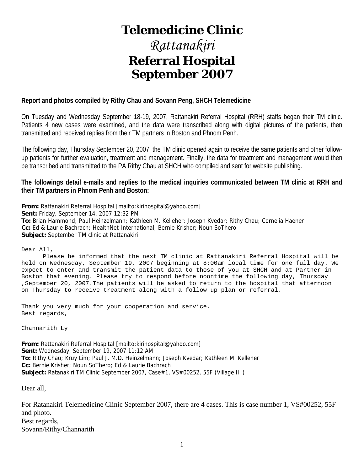# **Telemedicine Clinic**

# *Rattanakiri*  **Referral Hospital September 2007**

#### **Report and photos compiled by Rithy Chau and Sovann Peng, SHCH Telemedicine**

On Tuesday and Wednesday September 18-19, 2007, Rattanakiri Referral Hospital (RRH) staffs began their TM clinic. Patients 4 new cases were examined, and the data were transcribed along with digital pictures of the patients, then transmitted and received replies from their TM partners in Boston and Phnom Penh.

The following day, Thursday September 20, 2007, the TM clinic opened again to receive the same patients and other followup patients for further evaluation, treatment and management. Finally, the data for treatment and management would then be transcribed and transmitted to the PA Rithy Chau at SHCH who compiled and sent for website publishing.

**The followings detail e-mails and replies to the medical inquiries communicated between TM clinic at RRH and their TM partners in Phnom Penh and Boston:** 

**From:** Rattanakiri Referral Hospital [mailto:kirihospital@yahoo.com] **Sent:** Friday, September 14, 2007 12:32 PM **To:** Brian Hammond; Paul Heinzelmann; Kathleen M. Kelleher; Joseph Kvedar; Rithy Chau; Cornelia Haener **Cc:** Ed & Laurie Bachrach; HealthNet International; Bernie Krisher; Noun SoThero **Subject:** September TM clinic at Rattanakiri

Dear All,

 Please be informed that the next TM clinic at Rattanakiri Referral Hospital will be held on Wednesday, September 19, 2007 beginning at 8:00am local time for one full day. We expect to enter and transmit the patient data to those of you at SHCH and at Partner in Boston that evening. Please try to respond before noontime the following day, Thursday ,September 20, 2007.The patients will be asked to return to the hospital that afternoon on Thursday to receive treatment along with a follow up plan or referral.

Thank you very much for your cooperation and service. Best regards,

Channarith Ly

**From:** Rattanakiri Referral Hospital [mailto:kirihospital@yahoo.com] **Sent:** Wednesday, September 19, 2007 11:12 AM **To:** Rithy Chau; Kruy Lim; Paul J. M.D. Heinzelmann; Joseph Kvedar; Kathleen M. Kelleher **Cc:** Bernie Krisher; Noun SoThero; Ed & Laurie Bachrach **Subject:** Ratanakiri TM Clinic September 2007, Case#1, VS#00252, 55F (Village III)

Dear all,

For Ratanakiri Telemedicine Clinic September 2007, there are 4 cases. This is case number 1, VS#00252, 55F and photo. Best regards, Sovann/Rithy/Channarith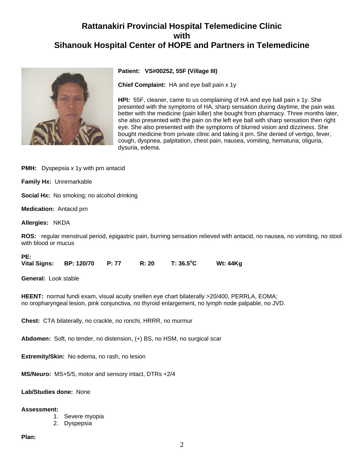

#### **Patient: VS#00252, 55F (Village III)**

**Chief Complaint:** HA and eye ball pain x 1y

**HPI:** 55F, cleaner, came to us complaining of HA and eye ball pain x 1y. She presented with the symptoms of HA, sharp sensation during daytime, the pain was better with the medicine (pain killer) she bought from pharmacy. Three months later, she also presented with the pain on the left eye ball with sharp sensation then right eye. She also presented with the symptoms of blurred vision and dizziness. She bought medicine from private clinic and taking it prn. She denied of vertigo, fever, cough, dyspnea, palpitation, chest pain, nausea, vomiting, hematuria, oliguria, dysuria, edema.

**PMH:** Dyspepsia x 1y with prn antacid

**Family Hx:** Unremarkable

**Social Hx:** No smoking; no alcohol drinking

**Medication:** Antacid prn

**Allergies:** NKDA

**ROS:** regular menstrual period, epigastric pain, burning sensation relieved with antacid, no nausea, no vomiting, no stool with blood or mucus

**PE:** 

| <b>Vital Signs:</b> | <b>BP: 120/70</b> | R: 20 | $T: 36.5^{\circ}$ C | <b>Wt: 44Kg</b> |
|---------------------|-------------------|-------|---------------------|-----------------|
|                     |                   |       |                     |                 |

**General:** Look stable

**HEENT:** normal fundi exam, visual acuity snellen eye chart bilaterally >20/400, PERRLA, EOMA; no oropharyngeal lesion, pink conjunctiva, no thyroid enlargement, no lymph node palpable, no JVD.

**Chest:** CTA bilaterally, no crackle, no ronchi, HRRR, no murmur

**Abdomen:** Soft, no tender, no distension, (+) BS, no HSM, no surgical scar

**Extremity/Skin:** No edema, no rash, no lesion

**MS/Neuro:** MS+5/5, motor and sensory intact, DTRs +2/4

**Lab/Studies done:** None

#### **Assessment:**

- 1. Severe myopia
- 2. Dyspepsia

#### **Plan:**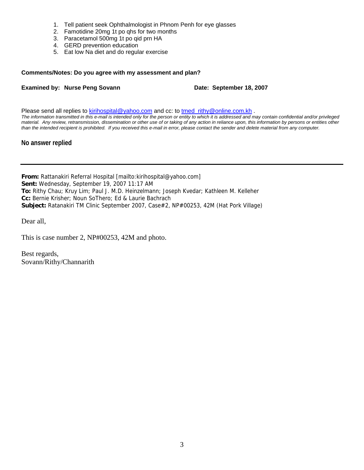- 1. Tell patient seek Ophthalmologist in Phnom Penh for eye glasses
- 2. Famotidine 20mg 1t po qhs for two months
- 3. Paracetamol 500mg 1t po qid prn HA
- 4. GERD prevention education
- 5. Eat low Na diet and do regular exercise

#### **Comments/Notes: Do you agree with my assessment and plan?**

#### **Examined by: Nurse Peng Sovann Date: September 18, 2007**

Please send all replies to [kirihospital@yahoo.com](mailto:kirihospital@yahoo.com) and cc: to [tmed\\_rithy@online.com.kh](mailto:tmed_rithy@bigpond.com.kh) . *The information transmitted in this e-mail is intended only for the person or entity to which it is addressed and may contain confidential and/or privileged material. Any review, retransmission, dissemination or other use of or taking of any action in reliance upon, this information by persons or entities other than the intended recipient is prohibited. If you received this e-mail in error, please contact the sender and delete material from any computer.*

#### **No answer replied**

**From:** Rattanakiri Referral Hospital [mailto:kirihospital@yahoo.com] **Sent:** Wednesday, September 19, 2007 11:17 AM **To:** Rithy Chau; Kruy Lim; Paul J. M.D. Heinzelmann; Joseph Kvedar; Kathleen M. Kelleher **Cc:** Bernie Krisher; Noun SoThero; Ed & Laurie Bachrach **Subject:** Ratanakiri TM Clinic September 2007, Case#2, NP#00253, 42M (Hat Pork Village)

Dear all,

This is case number 2, NP#00253, 42M and photo.

Best regards, Sovann/Rithy/Channarith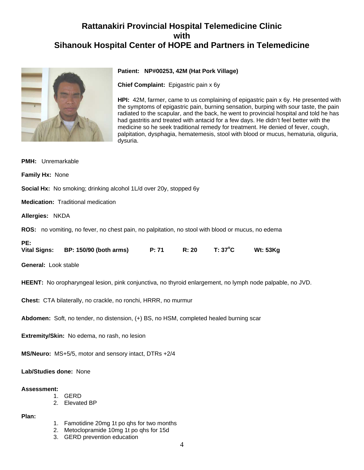

#### **Patient: NP#00253, 42M (Hat Pork Village)**

**Chief Complaint:** Epigastric pain x 6y

**HPI:** 42M, farmer, came to us complaining of epigastric pain x 6y. He presented with the symptoms of epigastric pain, burning sensation, burping with sour taste, the pain radiated to the scapular, and the back, he went to provincial hospital and told he has had gastritis and treated with antacid for a few days. He didn't feel better with the medicine so he seek traditional remedy for treatment. He denied of fever, cough, palpitation, dysphagia, hematemesis, stool with blood or mucus, hematuria, oliguria, dysuria.

**PMH:** Unremarkable

**Family Hx:** None

**Social Hx:** No smoking; drinking alcohol 1L/d over 20y, stopped 6y

**Medication:** Traditional medication

**Allergies:** NKDA

**ROS:** no vomiting, no fever, no chest pain, no palpitation, no stool with blood or mucus, no edema

| ۹ |  |
|---|--|
|   |  |

| Vital Signs: | BP: 150/90 (both arms) | P: 71 | R: 20 | T: 37°C | <b>Wt: 53Kg</b> |
|--------------|------------------------|-------|-------|---------|-----------------|
|              |                        |       |       |         |                 |

**General:** Look stable

**HEENT:** No oropharyngeal lesion, pink conjunctiva, no thyroid enlargement, no lymph node palpable, no JVD.

**Chest:** CTA bilaterally, no crackle, no ronchi, HRRR, no murmur

**Abdomen:** Soft, no tender, no distension, (+) BS, no HSM, completed healed burning scar

**Extremity/Skin:** No edema, no rash, no lesion

**MS/Neuro:** MS+5/5, motor and sensory intact, DTRs +2/4

**Lab/Studies done:** None

#### **Assessment:**

- 1. GERD
- 2. Elevated BP

**Plan:**

- 1. Famotidine 20mg 1t po qhs for two months
- 2. Metoclopramide 10mg 1t po qhs for 15d
- 3. GERD prevention education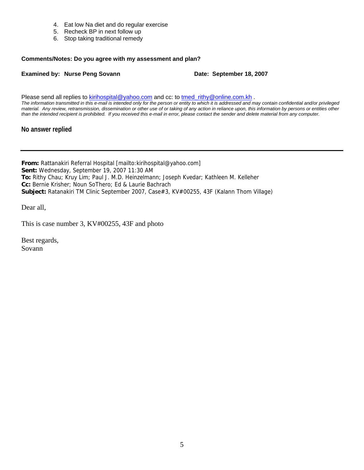- 4. Eat low Na diet and do regular exercise
- 5. Recheck BP in next follow up
- 6. Stop taking traditional remedy

#### **Comments/Notes: Do you agree with my assessment and plan?**

#### **Examined by: Nurse Peng Sovann Date: September 18, 2007**

Please send all replies to [kirihospital@yahoo.com](mailto:kirihospital@yahoo.com) and cc: to tmed rithy@online.com.kh . *The information transmitted in this e-mail is intended only for the person or entity to which it is addressed and may contain confidential and/or privileged material. Any review, retransmission, dissemination or other use of or taking of any action in reliance upon, this information by persons or entities other than the intended recipient is prohibited. If you received this e-mail in error, please contact the sender and delete material from any computer.*

#### **No answer replied**

**From:** Rattanakiri Referral Hospital [mailto:kirihospital@yahoo.com] **Sent:** Wednesday, September 19, 2007 11:30 AM **To:** Rithy Chau; Kruy Lim; Paul J. M.D. Heinzelmann; Joseph Kvedar; Kathleen M. Kelleher **Cc:** Bernie Krisher; Noun SoThero; Ed & Laurie Bachrach **Subject:** Ratanakiri TM Clinic September 2007, Case#3, KV#00255, 43F (Kalann Thom Village)

Dear all,

This is case number 3, KV#00255, 43F and photo

Best regards, Sovann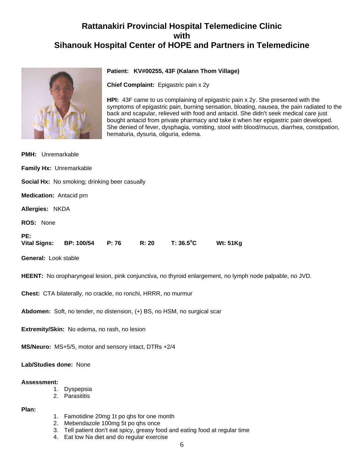

#### **Patient: KV#00255, 43F (Kalann Thom Village)**

**Chief Complaint:** Epigastric pain x 2y

**HPI:** 43F came to us complaining of epigastric pain x 2y. She presented with the symptoms of epigastric pain, burning sensation, bloating, nausea, the pain radiated to the back and scapular, relieved with food and antacid. She didn't seek medical care just bought antacid from private pharmacy and take it when her epigastric pain developed. She denied of fever, dysphagia, vomiting, stool with blood/mucus, diarrhea, constipation, hematuria, dysuria, oliguria, edema.

| <b>PMH:</b> Unremarkable                                                                                  |                                                      |       |       |                    |                 |  |  |
|-----------------------------------------------------------------------------------------------------------|------------------------------------------------------|-------|-------|--------------------|-----------------|--|--|
|                                                                                                           | Family Hx: Unremarkable                              |       |       |                    |                 |  |  |
|                                                                                                           | <b>Social Hx:</b> No smoking; drinking beer casually |       |       |                    |                 |  |  |
| <b>Medication:</b> Antacid prn                                                                            |                                                      |       |       |                    |                 |  |  |
| Allergies: NKDA                                                                                           |                                                      |       |       |                    |                 |  |  |
| ROS: None                                                                                                 |                                                      |       |       |                    |                 |  |  |
| PE:<br><b>Vital Signs:</b>                                                                                | BP: 100/54                                           | P: 76 | R: 20 | $T: 36.5^{\circ}C$ | <b>Wt: 51Kg</b> |  |  |
| <b>General: Look stable</b>                                                                               |                                                      |       |       |                    |                 |  |  |
| HEENT: No oropharyngeal lesion, pink conjunctiva, no thyroid enlargement, no lymph node palpable, no JVD. |                                                      |       |       |                    |                 |  |  |
|                                                                                                           |                                                      |       |       |                    |                 |  |  |

**Chest:** CTA bilaterally, no crackle, no ronchi, HRRR, no murmur

**Abdomen:** Soft, no tender, no distension, (+) BS, no HSM, no surgical scar

**Extremity/Skin:** No edema, no rash, no lesion

**MS/Neuro:** MS+5/5, motor and sensory intact, DTRs +2/4

**Lab/Studies done:** None

#### **Assessment:**

- 1. Dyspepsia
- 2. Parasititis

**Plan:**

- 1. Famotidine 20mg 1t po qhs for one month
- 2. Mebendazole 100mg 5t po qhs once
- 3. Tell patient don't eat spicy, greasy food and eating food at regular time
- 4. Eat low Na diet and do regular exercise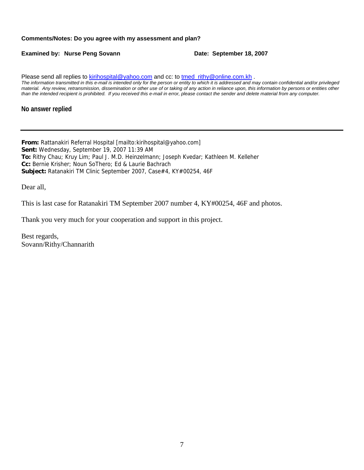#### **Comments/Notes: Do you agree with my assessment and plan?**

**Examined by: Nurse Peng Sovann Date: September 18, 2007** 

Please send all replies to [kirihospital@yahoo.com](mailto:kirihospital@yahoo.com) and cc: to tmed rithy@online.com.kh . *The information transmitted in this e-mail is intended only for the person or entity to which it is addressed and may contain confidential and/or privileged material. Any review, retransmission, dissemination or other use of or taking of any action in reliance upon, this information by persons or entities other than the intended recipient is prohibited. If you received this e-mail in error, please contact the sender and delete material from any computer.*

#### **No answer replied**

**From:** Rattanakiri Referral Hospital [mailto:kirihospital@yahoo.com] **Sent:** Wednesday, September 19, 2007 11:39 AM **To:** Rithy Chau; Kruy Lim; Paul J. M.D. Heinzelmann; Joseph Kvedar; Kathleen M. Kelleher **Cc:** Bernie Krisher; Noun SoThero; Ed & Laurie Bachrach **Subject:** Ratanakiri TM Clinic September 2007, Case#4, KY#00254, 46F

Dear all,

This is last case for Ratanakiri TM September 2007 number 4, KY#00254, 46F and photos.

Thank you very much for your cooperation and support in this project.

Best regards, Sovann/Rithy/Channarith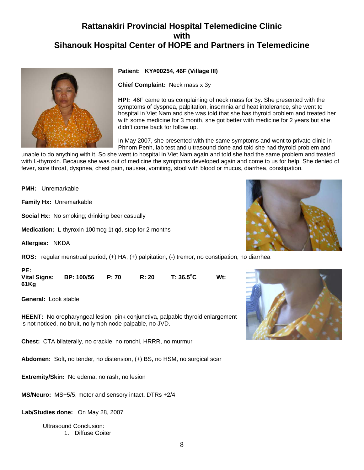

#### **Patient: KY#00254, 46F (Village III)**

**Chief Complaint:** Neck mass x 3y

**HPI:** 46F came to us complaining of neck mass for 3y. She presented with the symptoms of dyspnea, palpitation, insomnia and heat intolerance, she went to hospital in Viet Nam and she was told that she has thyroid problem and treated her with some medicine for 3 month, she got better with medicine for 2 years but she didn't come back for follow up.

In May 2007, she presented with the same symptoms and went to private clinic in Phnom Penh, lab test and ultrasound done and told she had thyroid problem and

unable to do anything with it. So she went to hospital in Viet Nam again and told she had the same problem and treated with L-thyroxin. Because she was out of medicine the symptoms developed again and come to us for help. She denied of fever, sore throat, dyspnea, chest pain, nausea, vomiting, stool with blood or mucus, diarrhea, constipation.

**PMH:** Unremarkable

**Family Hx:** Unremarkable

**Social Hx:** No smoking; drinking beer casually

**Medication:** L-thyroxin 100mcg 1t qd, stop for 2 months

**Allergies:** NKDA

**ROS:** regular menstrual period, (+) HA, (+) palpitation, (-) tremor, no constipation, no diarrhea

**PE: Vital Signs: BP: 100/56 P: 70 R: 20 T: 36.5o Wt: 61Kg**

**General:** Look stable

**HEENT:** No oropharyngeal lesion, pink conjunctiva, palpable thyroid enlargement is not noticed, no bruit, no lymph node palpable, no JVD.

**Chest:** CTA bilaterally, no crackle, no ronchi, HRRR, no murmur

**Abdomen:** Soft, no tender, no distension, (+) BS, no HSM, no surgical scar

**Extremity/Skin:** No edema, no rash, no lesion

**MS/Neuro:** MS+5/5, motor and sensory intact, DTRs +2/4

**Lab/Studies done:** On May 28, 2007

Ultrasound Conclusion: 1. Diffuse Goiter



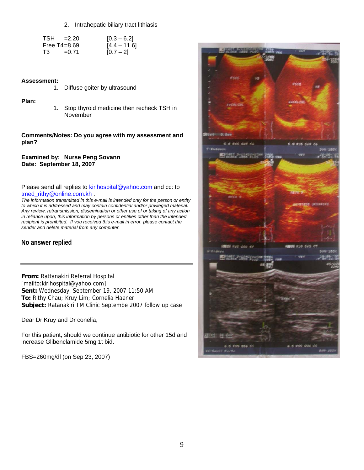2. Intrahepatic biliary tract lithiasis

|    | $TSH = 2.20$     | $[0.3 - 6.2]$  |
|----|------------------|----------------|
|    | Free $T4 = 8.69$ | $[4.4 - 11.6]$ |
| T3 | $= 0.71$         | $[0.7 - 2]$    |

#### **Assessment:**

| 1. |  | Diffuse goiter by ultrasound |
|----|--|------------------------------|
|    |  |                              |

#### **Plan:**

1. Stop thyroid medicine then recheck TSH in November

#### **Comments/Notes: Do you agree with my assessment and plan?**

**Examined by: Nurse Peng Sovann Date: September 18, 2007**

#### Please send all replies to **[kirihospital@yahoo.com](mailto:kirihospital@yahoo.com)** and cc: to [tmed\\_rithy@online.com.kh](mailto:tmed_rithy@bigpond.com.kh) .

*The information transmitted in this e-mail is intended only for the person or entity to which it is addressed and may contain confidential and/or privileged material. Any review, retransmission, dissemination or other use of or taking of any action in reliance upon, this information by persons or entities other than the intended recipient is prohibited. If you received this e-mail in error, please contact the sender and delete material from any computer.*

#### **No answer replied**

**From:** Rattanakiri Referral Hospital [mailto:kirihospital@yahoo.com] **Sent:** Wednesday, September 19, 2007 11:50 AM **To:** Rithy Chau; Kruy Lim; Cornelia Haener **Subject:** Ratanakiri TM Clinic Septembe 2007 follow up case

Dear Dr Kruy and Dr conelia,

For this patient, should we continue antibiotic for other 15d and increase Glibenclamide 5mg 1t bid.

FBS=260mg/dl (on Sep 23, 2007)

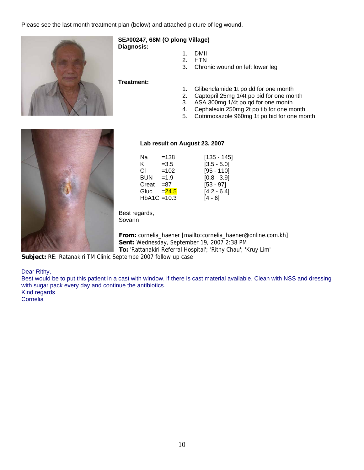Please see the last month treatment plan (below) and attached picture of leg wound.



## **SE#00247, 68M (O plong Village)**

**Diagnosis:**

- 1. DMII
- 2. HTN
- 3. Chronic wound on left lower leg

**Treatment:**

- 1. Glibenclamide 1t po dd for one month
- 2. Captopril 25mg 1/4t po bid for one month<br>3. ASA 300mg 1/4t po gd for one month
- 3. ASA 300mg 1/4t po qd for one month
- 4. Cephalexin 250mg 2t po tib for one month
- 5. Cotrimoxazole 960mg 1t po bid for one month



#### **Lab result on August 23, 2007**

| Na             | $=138$   | $[135 - 145]$ |
|----------------|----------|---------------|
| K.             | $=3.5$   | $[3.5 - 5.0]$ |
| CI.            | $=102$   | $[95 - 110]$  |
| <b>BUN</b>     | $=1.9$   | $[0.8 - 3.9]$ |
| Creat          | $= 87$   | $[53 - 97]$   |
| Gluc           | $= 24.5$ | $[4.2 - 6.4]$ |
| $HbA1C = 10.3$ |          | [4 - 6]       |

Best regards, Sovann<sup>1</sup>

**From:** cornelia\_haener [mailto:cornelia\_haener@online.com.kh] **Sent:** Wednesday, September 19, 2007 2:38 PM **To:** 'Rattanakiri Referral Hospital'; 'Rithy Chau'; 'Kruy Lim'

**Subject:** RE: Ratanakiri TM Clinic Septembe 2007 follow up case

Dear Rithy,

Best would be to put this patient in a cast with window, if there is cast material available. Clean with NSS and dressing with sugar pack every day and continue the antibiotics. Kind regards

Cornelia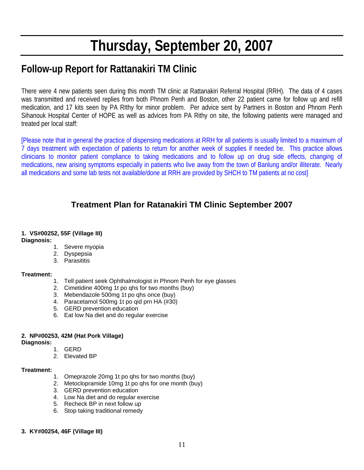# **Thursday, September 20, 2007**

# **Follow-up Report for Rattanakiri TM Clinic**

There were 4 new patients seen during this month TM clinic at Rattanakiri Referral Hospital (RRH). The data of 4 cases was transmitted and received replies from both Phnom Penh and Boston, other 22 patient came for follow up and refill medication, and 17 kits seen by PA RIthy for minor problem. Per advice sent by Partners in Boston and Phnom Penh Sihanouk Hospital Center of HOPE as well as advices from PA Rithy on site, the following patients were managed and treated per local staff:

[Please note that in general the practice of dispensing medications at RRH for all patients is usually limited to a maximum of 7 days treatment with expectation of patients to return for another week of supplies if needed be. This practice allows clinicians to monitor patient compliance to taking medications and to follow up on drug side effects, changing of medications, new arising symptoms especially in patients who live away from the town of Banlung and/or illiterate. Nearly all medications and some lab tests not available/done at RRH are provided by SHCH to TM patients at no cost]

## **Treatment Plan for Ratanakiri TM Clinic September 2007**

#### **1. VS#00252, 55F (Village III)**

**Diagnosis:**

- 1. Severe myopia
- 2. Dyspepsia
- 3. Parasititis

#### **Treatment:**

- 1. Tell patient seek Ophthalmologist in Phnom Penh for eye glasses
- 2. Cimetidine 400mg 1t po qhs for two months (buy)
- 3. Mebendazole 500mg 1t po qhs once (buy)
- 4. Paracetamol 500mg 1t po qid prn HA (#30)
- 5. GERD prevention education
- 6. Eat low Na diet and do regular exercise

#### **2. NP#00253, 42M (Hat Pork Village)**

**Diagnosis:**

- 1. GERD
- 2. Elevated BP

#### **Treatment:**

- 1. Omeprazole 20mg 1t po qhs for two months (buy)
- 2. Metoclopramide 10mg 1t po qhs for one month (buy)
- 3. GERD prevention education
- 4. Low Na diet and do regular exercise
- 5. Recheck BP in next follow up
- 6. Stop taking traditional remedy

#### **3. KY#00254, 46F (Village III)**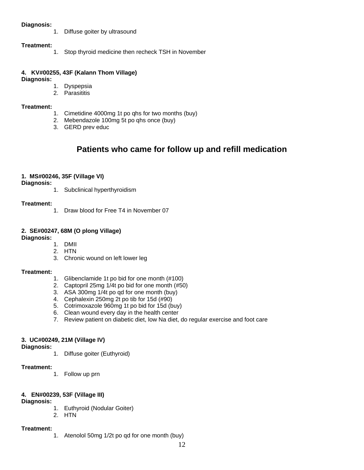#### **Diagnosis:**

1. Diffuse goiter by ultrasound

#### **Treatment:**

1. Stop thyroid medicine then recheck TSH in November

#### **4. KV#00255, 43F (Kalann Thom Village)**

#### **Diagnosis:**

1. Dyspepsia

2. Parasititis

#### **Treatment:**

- 1. Cimetidine 4000mg 1t po qhs for two months (buy)
- 2. Mebendazole 100mg 5t po qhs once (buy)
- 3. GERD prev educ

## **Patients who came for follow up and refill medication**

#### **1. MS#00246, 35F (Village VI)**

**Diagnosis:**

1. Subclinical hyperthyroidism

#### **Treatment:**

1. Draw blood for Free T4 in November 07

#### **2. SE#00247, 68M (O plong Village)**

**Diagnosis:**

- 1. DMII
- 2. HTN
- 3. Chronic wound on left lower leg

#### **Treatment:**

- 1. Glibenclamide 1t po bid for one month (#100)
- 2. Captopril 25mg 1/4t po bid for one month (#50)
- 3. ASA 300mg 1/4t po qd for one month (buy)
- 4. Cephalexin 250mg 2t po tib for 15d (#90)
- 5. Cotrimoxazole 960mg 1t po bid for 15d (buy)
- 6. Clean wound every day in the health center
- 7. Review patient on diabetic diet, low Na diet, do regular exercise and foot care

#### **3. UC#00249, 21M (Village IV)**

**Diagnosis:**

1. Diffuse goiter (Euthyroid)

#### **Treatment:**

- 1. Follow up prn
- **4. EN#00239, 53F (Village III)**

**Diagnosis:**

- 1. Euthyroid (Nodular Goiter)
- 2. HTN

#### **Treatment:**

1. Atenolol 50mg 1/2t po qd for one month (buy)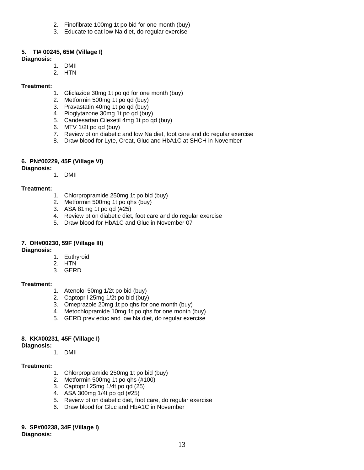- 2. Finofibrate 100mg 1t po bid for one month (buy)
- 3. Educate to eat low Na diet, do regular exercise

#### **5. TI# 00245, 65M (Village I)**

#### **Diagnosis:**

- 1. DMII
- 2. HTN

#### **Treatment:**

- 1. Gliclazide 30mg 1t po qd for one month (buy)
- 2. Metformin 500mg 1t po qd (buy)
- 3. Pravastatin 40mg 1t po qd (buy)
- 4. Pioglytazone 30mg 1t po qd (buy)
- 5. Candesartan Cilexetil 4mg 1t po qd (buy)
- 6. MTV 1/2t po qd (buy)
- 7. Review pt on diabetic and low Na diet, foot care and do regular exercise
- 8. Draw blood for Lyte, Creat, Gluc and HbA1C at SHCH in November

#### **6. PN#00229, 45F (Village VI)**

#### **Diagnosis:**

1. DMII

#### **Treatment:**

- 1. Chlorpropramide 250mg 1t po bid (buy)
- 2. Metformin 500mg 1t po qhs (buy)
- 3. ASA 81mg 1t po qd (#25)
- 4. Review pt on diabetic diet, foot care and do regular exercise
- 5. Draw blood for HbA1C and Gluc in November 07

#### **7. OH#00230, 59F (Village III)**

**Diagnosis:**

- 1. Euthyroid
- 2. HTN
- 3. GERD

#### **Treatment:**

- 1. Atenolol 50mg 1/2t po bid (buy)
- 2. Captopril 25mg 1/2t po bid (buy)
- 3. Omeprazole 20mg 1t po qhs for one month (buy)
- 4. Metochlopramide 10mg 1t po qhs for one month (buy)
- 5. GERD prev educ and low Na diet, do regular exercise

#### **8. KK#00231, 45F (Village I)**

**Diagnosis:**

1. DMII

#### **Treatment:**

- 1. Chlorpropramide 250mg 1t po bid (buy)
- 2. Metformin 500mg 1t po qhs (#100)
- 3. Captopril 25mg 1/4t po qd (25)
- 4. ASA 300mg 1/4t po qd (#25)
- 5. Review pt on diabetic diet, foot care, do regular exercise
- 6. Draw blood for Gluc and HbA1C in November

**9. SP#00238, 34F (Village I) Diagnosis:**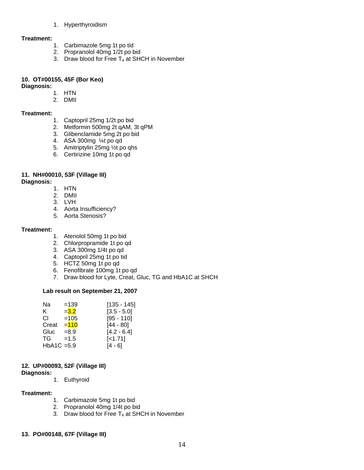1. Hyperthyroidism

#### **Treatment:**

- 1. Carbimazole 5mg 1t po tid
- 2. Propranolol 40mg 1/2t po bid
- 3. Draw blood for Free  $T_4$  at SHCH in November

## **10. OT#00155, 45F (Bor Keo)**

**Diagnosis:** 

## 1. HTN

2. DMII

#### **Treatment:**

- 1. Captopril 25mg 1/2t po bid
- 2. Metformin 500mg 2t qAM, 3t qPM
- 3. Glibenclamide 5mg 2t po bid
- 4. ASA 300mg ¼t po qd
- 5. Amitriptylin 25mg ½t po qhs
- 6. Certirizine 10mg 1t po qd

#### **11. NH#00010, 53F (Village III)**

**Diagnosis:** 

- 1. HTN
- 2. DMII
- 3. LVH
- 4. Aorta Insufficiency?
- 5. Aorta Stenosis?

#### **Treatment:**

- 1. Atenolol 50mg 1t po bid
- 2. Chlorpropramide 1t po qd
- 3. ASA 300mg 1/4t po qd
- 4. Captopril 25mg 1t po tid
- 5. HCTZ 50mg 1t po qd
- 6. Fenofibrate 100mg 1t po qd
- 7. Draw blood for Lyte, Creat, Gluc, TG and HbA1C at SHCH

#### **Lab result on September 21, 2007**

| Na            | $=139$  | $[135 - 145]$ |
|---------------|---------|---------------|
| ĸ.            | $= 3.2$ | $[3.5 - 5.0]$ |
| CI.           | $=105$  | $[95 - 110]$  |
| Creat         | $= 110$ | $[44 - 80]$   |
| Gluc          | $= 8.9$ | $[4.2 - 6.4]$ |
| TG.           | $=1.5$  | $[-1.71]$     |
| $HbA1C = 5.9$ |         | I4 - 61       |
|               |         |               |

#### **12. UP#00093, 52F (Village III)**

**Diagnosis:** 

1. Euthyroid

#### **Treatment:**

- 1. Carbimazole 5mg 1t po bid
- 2. Propranolol 40mg 1/4t po bid
- 3. Draw blood for Free  $T_4$  at SHCH in November

#### **13. PO#00148, 67F (Village III)**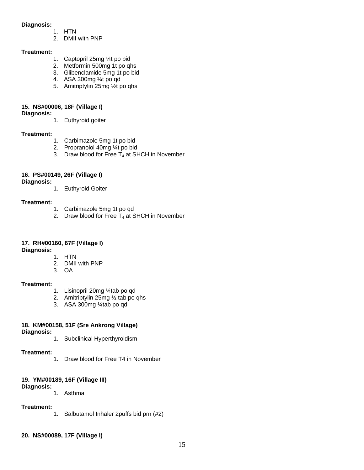#### **Diagnosis:**

- 1. HTN
- 2. DMII with PNP

#### **Treatment:**

- 1. Captopril 25mg ¼t po bid
- 2. Metformin 500mg 1t po qhs
- 3. Glibenclamide 5mg 1t po bid
- 4. ASA 300mg ¼t po qd
- 5. Amitriptylin 25mg ½t po qhs

#### **15. NS#00006, 18F (Village I)**

**Diagnosis:** 

1. Euthyroid goiter

#### **Treatment:**

- 1. Carbimazole 5mg 1t po bid
- 2. Propranolol 40mg ¼t po bid
- 3. Draw blood for Free  $T_4$  at SHCH in November

#### **16. PS#00149, 26F (Village I)**

**Diagnosis:** 

1. Euthyroid Goiter

#### **Treatment:**

- 1. Carbimazole 5mg 1t po qd
- 2. Draw blood for Free  $T_4$  at SHCH in November

#### **17. RH#00160, 67F (Village I)**

**Diagnosis:** 

- 1. HTN
- 2. DMII with PNP
- 3. OA

#### **Treatment:**

- 1. Lisinopril 20mg ¼tab po qd
- 2. Amitriptylin 25mg ½ tab po qhs
- 3. ASA 300mg ¼tab po qd

#### **18. KM#00158, 51F (Sre Ankrong Village)**

**Diagnosis:** 

1. Subclinical Hyperthyroidism

#### **Treatment:**

1. Draw blood for Free T4 in November

#### **19. YM#00189, 16F (Village III)**

**Diagnosis:** 

1. Asthma

#### **Treatment:**

- 1. Salbutamol Inhaler 2puffs bid prn (#2)
- **20. NS#00089, 17F (Village I)**